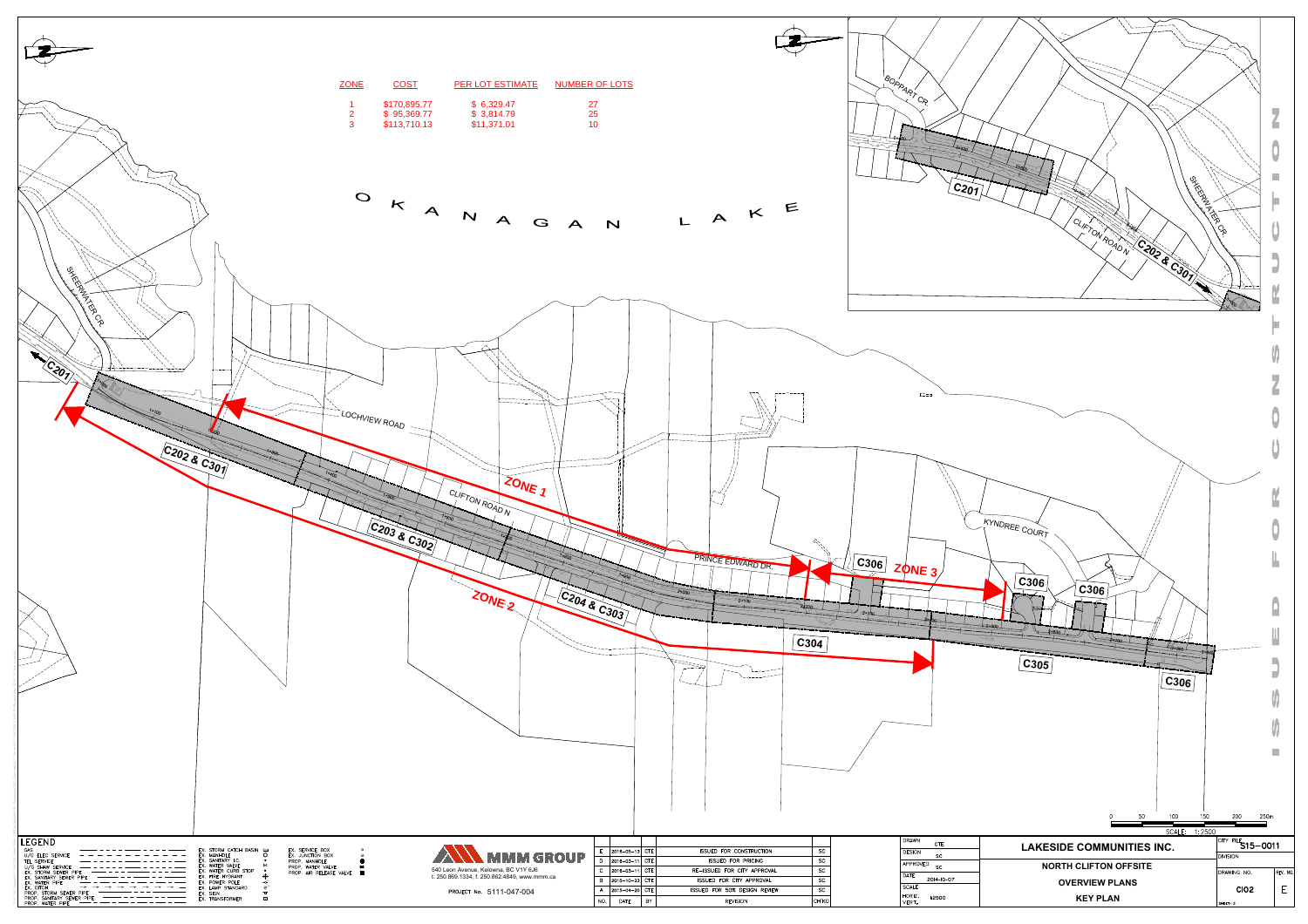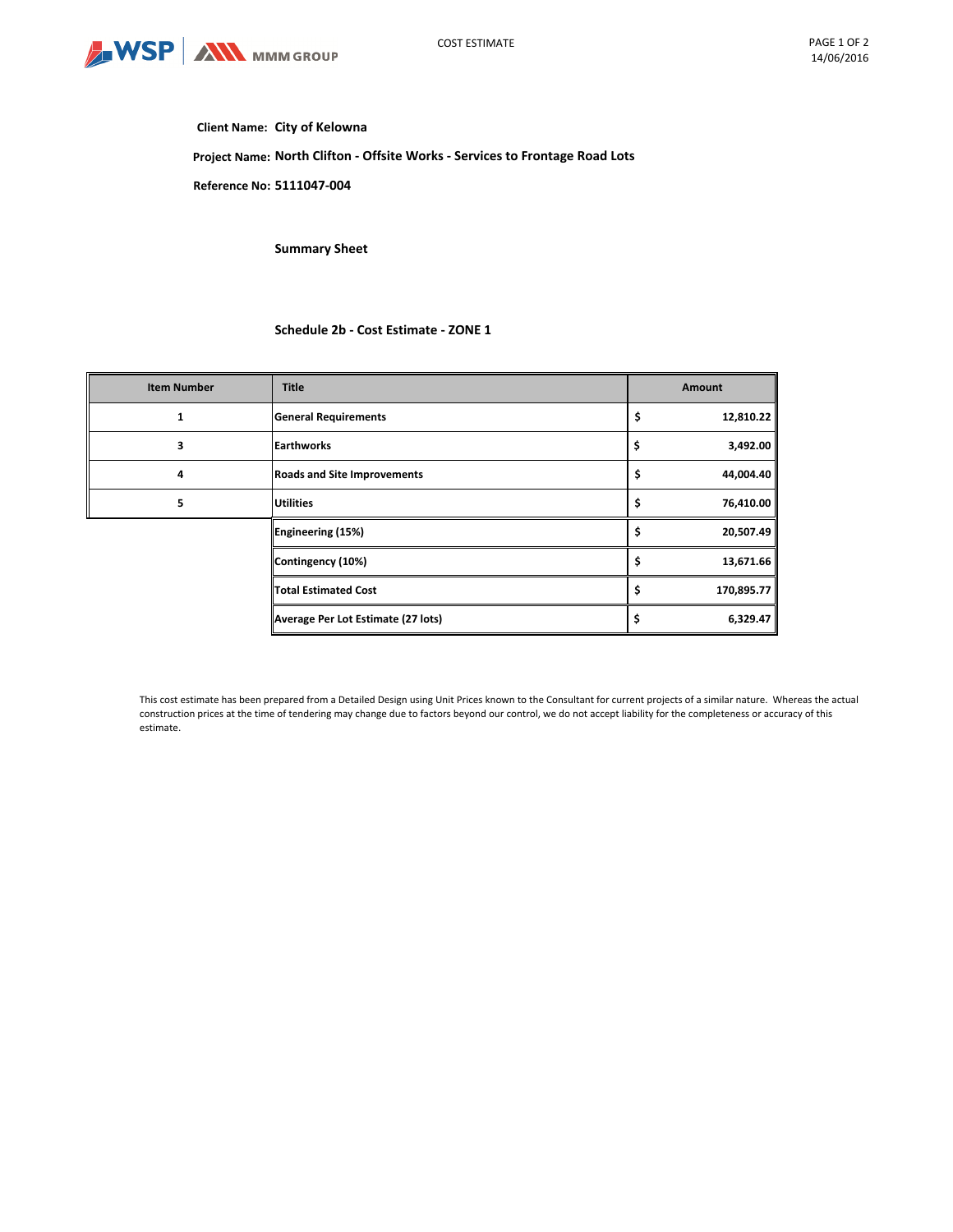

## **Client Name: City of Kelowna**

**Project Name: North Clifton - Offsite Works - Services to Frontage Road Lots**

**Reference No: 5111047-004**

**Summary Sheet**

# **Schedule 2b - Cost Estimate - ZONE 1**

| <b>Item Number</b> | <b>Title</b>                       | <b>Amount</b>    |
|--------------------|------------------------------------|------------------|
| 1                  | <b>General Requirements</b>        | 12,810.22<br>\$  |
| 3                  | <b>Earthworks</b>                  | \$<br>3,492.00   |
| 4                  | <b>Roads and Site Improvements</b> | 44,004.40<br>\$  |
| 5                  | <b>Utilities</b>                   | 76,410.00<br>\$, |
|                    | Engineering (15%)                  | 20,507.49<br>\$  |
|                    | Contingency (10%)                  | 13,671.66<br>S   |
|                    | <b>Total Estimated Cost</b>        | 170,895.77<br>\$ |
|                    | Average Per Lot Estimate (27 lots) | 6,329.47         |

This cost estimate has been prepared from a Detailed Design using Unit Prices known to the Consultant for current projects of a similar nature. Whereas the actual construction prices at the time of tendering may change due to factors beyond our control, we do not accept liability for the completeness or accuracy of this estimate.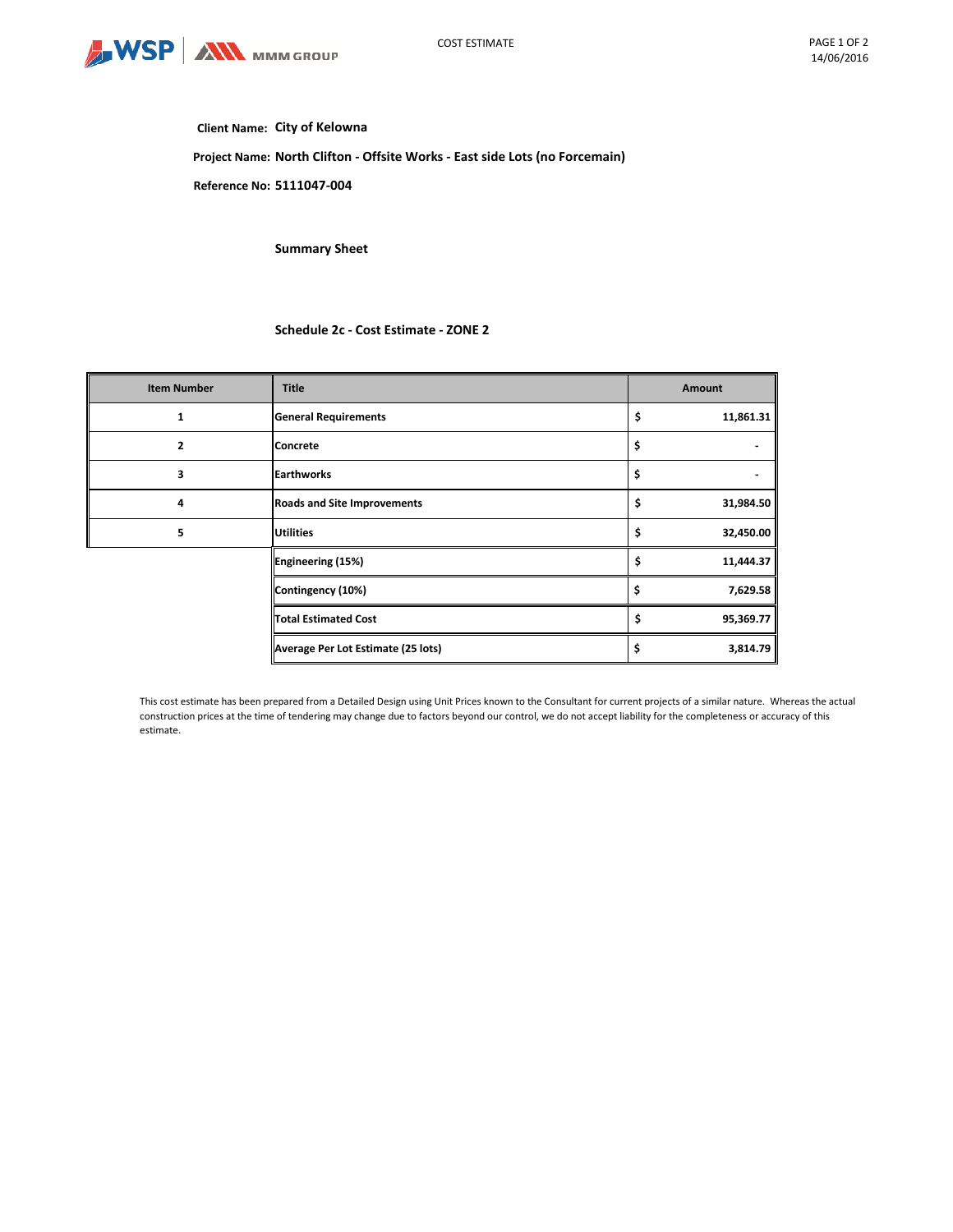

## **Client Name: City of Kelowna**

**Project Name: North Clifton - Offsite Works - East side Lots (no Forcemain)**

**Reference No: 5111047-004**

**Summary Sheet**

## **Schedule 2c - Cost Estimate - ZONE 2**

| <b>Item Number</b> | <b>Title</b>                       | Amount          |
|--------------------|------------------------------------|-----------------|
| 1                  | <b>General Requirements</b>        | \$<br>11,861.31 |
| 2                  | <b>Concrete</b>                    | \$              |
| 3                  | <b>Earthworks</b>                  | \$              |
| 4                  | <b>Roads and Site Improvements</b> | \$<br>31,984.50 |
| 5                  | <b>Utilities</b>                   | \$<br>32,450.00 |
|                    | Engineering (15%)                  | \$<br>11,444.37 |
|                    | Contingency (10%)                  | 7,629.58<br>\$  |
|                    | <b>Total Estimated Cost</b>        | \$<br>95,369.77 |
|                    | Average Per Lot Estimate (25 lots) | 3,814.79<br>\$  |

This cost estimate has been prepared from a Detailed Design using Unit Prices known to the Consultant for current projects of a similar nature. Whereas the actual construction prices at the time of tendering may change due to factors beyond our control, we do not accept liability for the completeness or accuracy of this estimate.